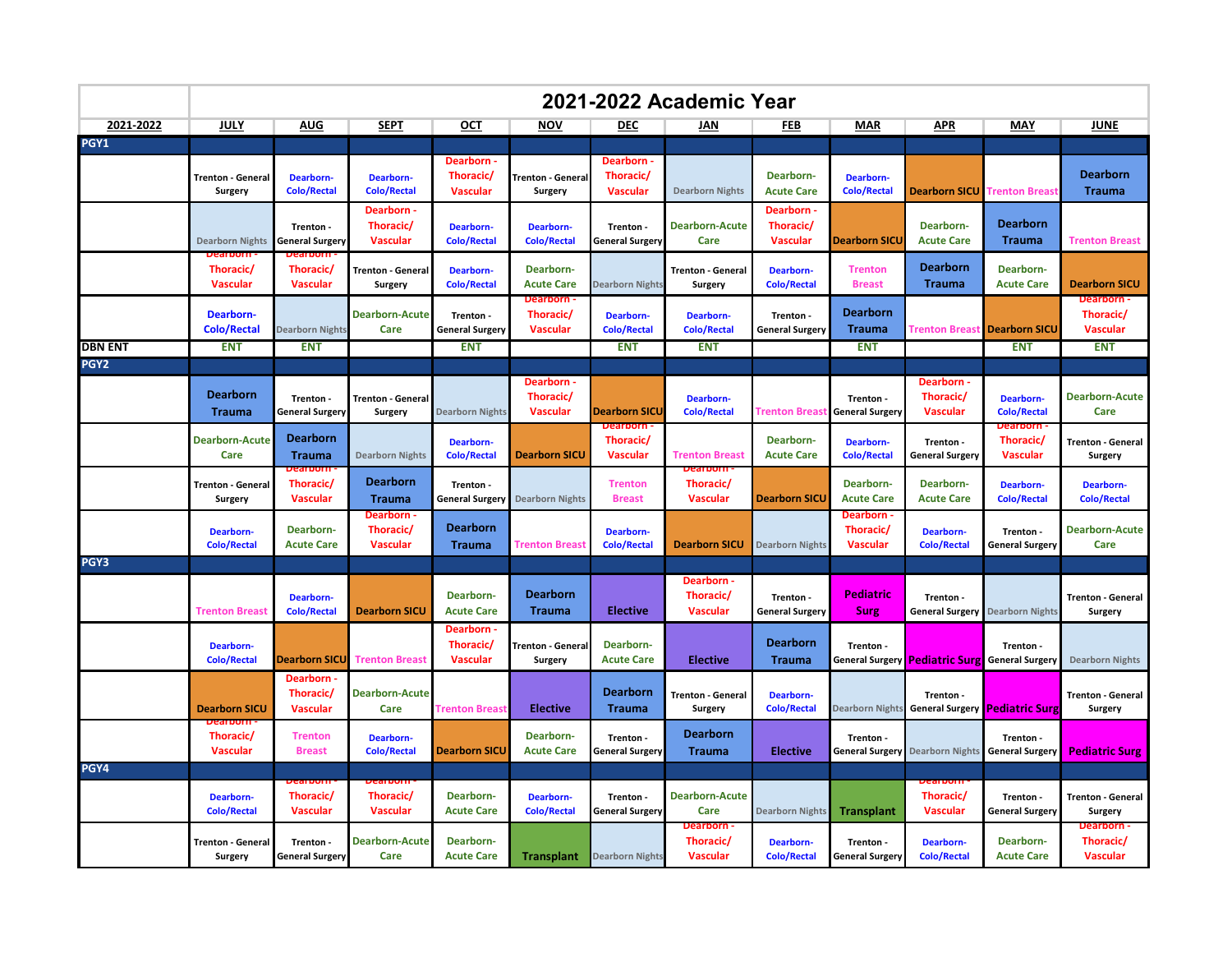|                        | 2021-2022 Academic Year                |                                            |                                            |                                            |                                                 |                                            |                                            |                                            |                                            |                                                       |                                        |                                            |
|------------------------|----------------------------------------|--------------------------------------------|--------------------------------------------|--------------------------------------------|-------------------------------------------------|--------------------------------------------|--------------------------------------------|--------------------------------------------|--------------------------------------------|-------------------------------------------------------|----------------------------------------|--------------------------------------------|
| 2021-2022              | <b>JULY</b>                            | <u>AUG</u>                                 | <b>SEPT</b>                                | OCT                                        | <b>NOV</b>                                      | <b>DEC</b>                                 | JAN                                        | FEB                                        | <b>MAR</b>                                 | <b>APR</b>                                            | MAY                                    | <b>JUNE</b>                                |
| PGY1                   |                                        |                                            |                                            |                                            |                                                 |                                            |                                            |                                            |                                            |                                                       |                                        |                                            |
|                        | <b>Trenton - General</b><br>Surgery    | <b>Dearborn-</b><br><b>Colo/Rectal</b>     | Dearborn-<br><b>Colo/Rectal</b>            | Dearborn -<br>Thoracic/<br><b>Vascular</b> | <b>Trenton - Genera</b><br><b>Surgery</b>       | Dearborn -<br>Thoracic/<br><b>Vascular</b> | <b>Dearborn Nights</b>                     | Dearborn-<br><b>Acute Care</b>             | <b>Dearborn-</b><br><b>Colo/Rectal</b>     | <b>Dearborn SICU</b>                                  | <b>Trenton Breast</b>                  | <b>Dearborn</b><br><b>Trauma</b>           |
|                        | <b>Dearborn Nights</b>                 | Trenton -<br><b>General Surgery</b>        | Dearborn -<br>Thoracic/<br><b>Vascular</b> | <b>Dearborn-</b><br><b>Colo/Rectal</b>     | <b>Dearborn-</b><br><b>Colo/Rectal</b>          | Trenton -<br><b>General Surgery</b>        | <b>Dearborn-Acute</b><br>Care              | Dearborn -<br>Thoracic/<br><b>Vascular</b> | <b>Dearborn SICL</b>                       | Dearborn-<br><b>Acute Care</b>                        | <b>Dearborn</b><br><b>Trauma</b>       | <b>Trenton Breast</b>                      |
|                        | Thoracic/<br><b>Vascular</b>           | Thoracic/<br><b>Vascular</b>               | <b>Trenton - General</b><br>Surgery        | <b>Dearborn-</b><br><b>Colo/Rectal</b>     | Dearborn-<br><b>Acute Care</b>                  | <b>Dearborn Nights</b>                     | <b>Trenton - General</b><br><b>Surgery</b> | Dearborn-<br><b>Colo/Rectal</b>            | <b>Trenton</b><br><b>Breast</b>            | <b>Dearborn</b><br><b>Trauma</b>                      | Dearborn-<br><b>Acute Care</b>         | <b>Dearborn SICU</b>                       |
|                        | <b>Dearborn-</b><br><b>Colo/Rectal</b> | <b>Dearborn Nights</b>                     | <b>Dearborn-Acute</b><br>Care              | Trenton -<br><b>General Surgery</b>        | <b>Dearborn</b><br>Thoracic/<br><b>Vascular</b> | Dearborn-<br><b>Colo/Rectal</b>            | <b>Dearborn-</b><br><b>Colo/Rectal</b>     | Trenton -<br><b>General Surgery</b>        | <b>Dearborn</b><br><b>Trauma</b>           | <b>Trenton Breas</b>                                  | <b>Dearborn SICU</b>                   | Dearborn -<br>Thoracic/<br><b>Vascular</b> |
| DBN ENT<br><b>PGY2</b> | <b>ENT</b>                             | <b>ENT</b>                                 |                                            | <b>ENT</b>                                 |                                                 | <b>ENT</b>                                 | <b>ENT</b>                                 |                                            | <b>ENT</b>                                 |                                                       | <b>ENT</b>                             | <b>ENT</b>                                 |
|                        | Dearborn<br><b>Trauma</b>              | Trenton -<br><b>General Surgery</b>        | <b>Trenton - General</b><br>Surgery        | <b>Dearborn Nights</b>                     | Dearborn -<br>Thoracic/<br><b>Vascular</b>      | <b>Dearborn SICU</b>                       | <b>Dearborn-</b><br><b>Colo/Rectal</b>     | <b>Trenton Breast</b>                      | Trenton -<br><b>General Surgery</b>        | Dearborn -<br>Thoracic/<br><b>Vascular</b>            | <b>Dearborn-</b><br><b>Colo/Rectal</b> | <b>Dearborn-Acute</b><br>Care              |
|                        | <b>Dearborn-Acute</b><br>Care          | <b>Dearborn</b><br><b>Trauma</b>           | <b>Dearborn Nights</b>                     | <b>Dearborn-</b><br><b>Colo/Rectal</b>     | <b>Dearborn SICU</b>                            | Thoracic/<br><b>Vascular</b>               | <b>Trenton Breast</b>                      | Dearborn-<br><b>Acute Care</b>             | <b>Dearborn-</b><br><b>Colo/Rectal</b>     | Trenton -<br><b>General Surgery</b>                   | Thoracic/<br><b>Vascular</b>           | <b>Trenton - General</b><br>Surgery        |
|                        | Trenton - General<br>Surgery           | Thoracic/<br><b>Vascular</b>               | <b>Dearborn</b><br><b>Trauma</b>           | Trenton -<br><b>General Surgery</b>        | <b>Dearborn Nights</b>                          | <b>Trenton</b><br><b>Breast</b>            | Thoracic/<br><b>Vascular</b>               | <b>Dearborn SICU</b>                       | Dearborn-<br><b>Acute Care</b>             | Dearborn-<br><b>Acute Care</b>                        | <b>Dearborn-</b><br><b>Colo/Rectal</b> | <b>Dearborn-</b><br><b>Colo/Rectal</b>     |
|                        | <b>Dearborn-</b><br><b>Colo/Rectal</b> | Dearborn-<br><b>Acute Care</b>             | Dearborn -<br>Thoracic/<br><b>Vascular</b> | <b>Dearborn</b><br><b>Trauma</b>           | <b>Trenton Breas</b>                            | Dearborn-<br><b>Colo/Rectal</b>            | <b>Dearborn SICU</b>                       | <b>Dearborn Nights</b>                     | Dearborn -<br>Thoracic/<br><b>Vascular</b> | Dearborn-<br><b>Colo/Rectal</b>                       | Trenton -<br><b>General Surgery</b>    | <b>Dearborn-Acute</b><br>Care              |
| PGY3                   |                                        |                                            |                                            |                                            |                                                 |                                            |                                            |                                            |                                            |                                                       |                                        |                                            |
|                        | <b>Trenton Breast</b>                  | <b>Dearborn-</b><br>Colo/Rectal            | <b>Dearborn SICU</b>                       | Dearborn-<br><b>Acute Care</b>             | <b>Dearborn</b><br><b>Trauma</b>                | <b>Elective</b>                            | Dearborn -<br>Thoracic/<br><b>Vascular</b> | Trenton -<br><b>General Surgery</b>        | <b>Pediatric</b><br><b>Surg</b>            | Trenton -<br><b>General Surgery</b>                   | <b>Dearborn Nights</b>                 | <b>Trenton - General</b><br>Surgery        |
|                        | Dearborn-<br><b>Colo/Rectal</b>        | <b>Dearborn SICL</b>                       | <b>Trenton Breast</b>                      | Dearborn -<br>Thoracic/<br><b>Vascular</b> | <b>Trenton - Genera</b><br>Surgery              | Dearborn-<br><b>Acute Care</b>             | <b>Elective</b>                            | <b>Dearborn</b><br><b>Trauma</b>           | Trenton -                                  | General Surgery <b>Pediatric Surg</b> General Surgery | Trenton -                              | <b>Dearborn Nights</b>                     |
|                        | <b>Dearborn SICU</b>                   | Dearborn -<br>Thoracic/<br><b>Vascular</b> | <b>Dearborn-Acute</b><br>Care              | Trenton Breas                              | <b>Elective</b>                                 | <b>Dearborn</b><br><b>Trauma</b>           | <b>Trenton - General</b><br>Surgery        | <b>Dearborn-</b><br><b>Colo/Rectal</b>     | <b>Dearborn Nights</b>                     | Trenton -<br><b>General Surgery Pediatric Surg</b>    |                                        | <b>Trenton - General</b><br>Surgery        |
|                        | Thoracic/<br><b>Vascular</b>           | <b>Trenton</b><br><b>Breast</b>            | <b>Dearborn-</b><br><b>Colo/Rectal</b>     | <b>Dearborn SICU</b>                       | Dearborn-<br><b>Acute Care</b>                  | Trenton -<br><b>General Surgery</b>        | <b>Dearborn</b><br><b>Trauma</b>           | <b>Elective</b>                            | Trenton -<br><b>General Surgery</b>        | <b>Dearborn Nights</b>                                | Trenton -<br><b>General Surgery</b>    | <b>Pediatric Surg</b>                      |
| PGY4                   |                                        |                                            |                                            |                                            |                                                 |                                            |                                            |                                            |                                            |                                                       |                                        |                                            |
|                        | Dearborn-<br><b>Colo/Rectal</b>        | Thoracic/<br><b>Vascular</b>               | Thoracic/<br><b>Vascular</b>               | Dearborn-<br><b>Acute Care</b>             | <b>Dearborn-</b><br><b>Colo/Rectal</b>          | Trenton -<br><b>General Surgery</b>        | <b>Dearborn-Acute</b><br>Care              | <b>Dearborn Nights</b>                     | <b>Transplant</b>                          | Thoracic/<br><b>Vascular</b>                          | Trenton -<br><b>General Surgery</b>    | <b>Trenton - General</b><br>Surgery        |
|                        | Trenton - General<br>Surgery           | Trenton -<br><b>General Surgery</b>        | <b>Dearborn-Acute</b><br>Care              | Dearborn-<br><b>Acute Care</b>             | <b>Transplant</b>                               | <b>Dearborn Nights</b>                     | Dearborn -<br>Thoracic/<br><b>Vascular</b> | Dearborn-<br><b>Colo/Rectal</b>            | Trenton -<br><b>General Surgery</b>        | <b>Dearborn-</b><br><b>Colo/Rectal</b>                | Dearborn-<br><b>Acute Care</b>         | Dearborn -<br>Thoracic/<br><b>Vascular</b> |